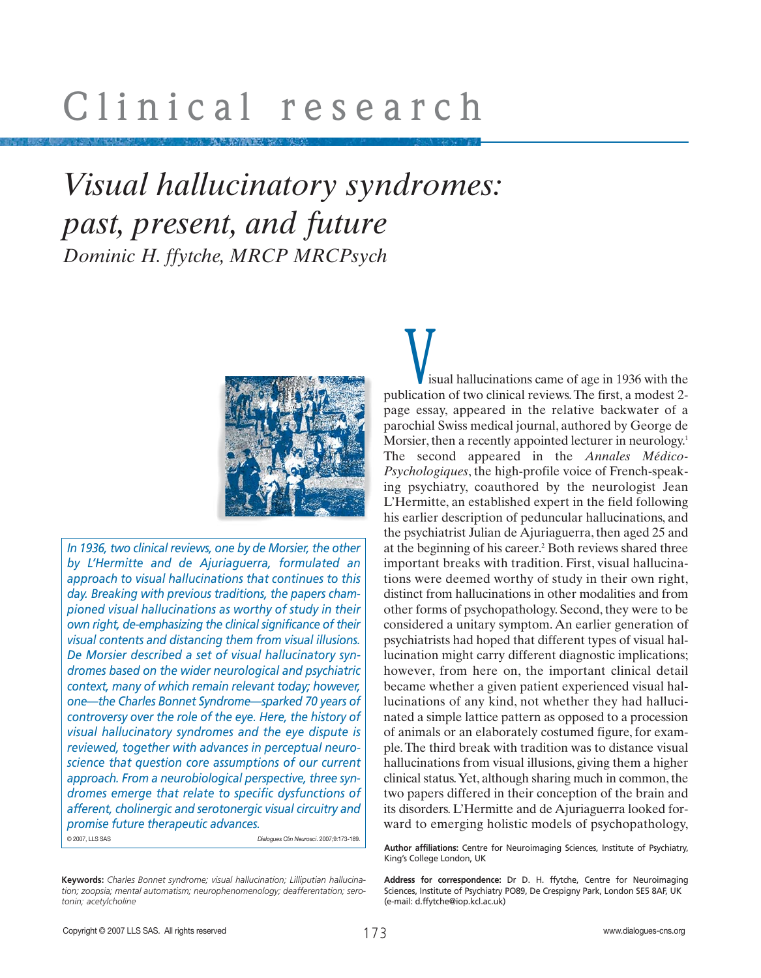# *Visual hallucinatory syndromes: past, present, and future Dominic H. ffytche, MRCP MRCPsych*



*In 1936, two clinical reviews, one by de Morsier, the other by L'Hermitte and de Ajuriaguerra, formulated an approach to visual hallucinations that continues to this day. Breaking with previous traditions, the papers championed visual hallucinations as worthy of study in their own right, de-emphasizing the clinical significance of their visual contents and distancing them from visual illusions. De Morsier described a set of visual hallucinatory syndromes based on the wider neurological and psychiatric context, many of which remain relevant today; however, one—the Charles Bonnet Syndrome—sparked 70 years of controversy over the role of the eye. Here, the history of visual hallucinatory syndromes and the eye dispute is reviewed, together with advances in perceptual neuroscience that question core assumptions of our current approach. From a neurobiological perspective, three syndromes emerge that relate to specific dysfunctions of afferent, cholinergic and serotonergic visual circuitry and promise future therapeutic advances.*  © 2007, LLS SAS *Dialogues Clin Neurosci*. 2007;9:173-189.

isual hallucinations came of age in 1936 with the isual hallucinations came of age in 1936 with the publication of two clinical reviews. The first, a modest 2page essay, appeared in the relative backwater of a parochial Swiss medical journal, authored by George de Morsier, then a recently appointed lecturer in neurology.<sup>1</sup> The second appeared in the *Annales Médico-Psychologiques*, the high-profile voice of French-speaking psychiatry, coauthored by the neurologist Jean L'Hermitte, an established expert in the field following his earlier description of peduncular hallucinations, and the psychiatrist Julian de Ajuriaguerra, then aged 25 and at the beginning of his career.<sup>2</sup> Both reviews shared three important breaks with tradition. First, visual hallucinations were deemed worthy of study in their own right, distinct from hallucinations in other modalities and from other forms of psychopathology. Second, they were to be considered a unitary symptom. An earlier generation of psychiatrists had hoped that different types of visual hallucination might carry different diagnostic implications; however, from here on, the important clinical detail became whether a given patient experienced visual hallucinations of any kind, not whether they had hallucinated a simple lattice pattern as opposed to a procession of animals or an elaborately costumed figure, for example.The third break with tradition was to distance visual hallucinations from visual illusions, giving them a higher clinical status.Yet, although sharing much in common, the two papers differed in their conception of the brain and its disorders. L'Hermitte and de Ajuriaguerra looked forward to emerging holistic models of psychopathology,

**Author affiliations:** Centre for Neuroimaging Sciences, Institute of Psychiatry, King's College London, UK

**Address for correspondence:** Dr D. H. ffytche, Centre for Neuroimaging Sciences, Institute of Psychiatry PO89, De Crespigny Park, London SE5 8AF, UK (e-mail: d.ffytche@iop.kcl.ac.uk)

**Keywords:** *Charles Bonnet syndrome; visual hallucination; Lilliputian hallucination; zoopsia; mental automatism; neurophenomenology; deafferentation; serotonin; acetylcholine*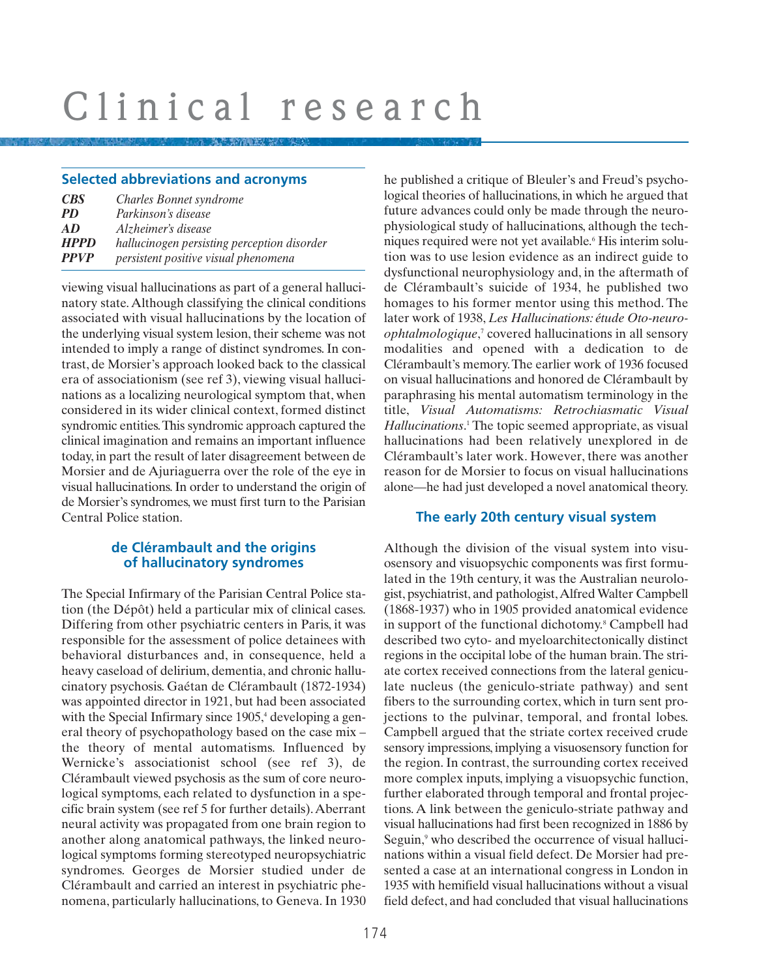### **Selected abbreviations and acronyms**

| <b>CBS</b>                 | Charles Bonnet syndrome                                                             |
|----------------------------|-------------------------------------------------------------------------------------|
| <i>PD</i>                  | Parkinson's disease                                                                 |
| AD                         | Alzheimer's disease                                                                 |
| <b>HPPD</b><br><b>PPVP</b> | hallucinogen persisting perception disorder<br>persistent positive visual phenomena |

viewing visual hallucinations as part of a general hallucinatory state. Although classifying the clinical conditions associated with visual hallucinations by the location of the underlying visual system lesion, their scheme was not intended to imply a range of distinct syndromes. In contrast, de Morsier's approach looked back to the classical era of associationism (see ref 3), viewing visual hallucinations as a localizing neurological symptom that, when considered in its wider clinical context, formed distinct syndromic entities.This syndromic approach captured the clinical imagination and remains an important influence today, in part the result of later disagreement between de Morsier and de Ajuriaguerra over the role of the eye in visual hallucinations. In order to understand the origin of de Morsier's syndromes, we must first turn to the Parisian Central Police station.

# **de Clérambault and the origins of hallucinatory syndromes**

The Special Infirmary of the Parisian Central Police station (the Dépôt) held a particular mix of clinical cases. Differing from other psychiatric centers in Paris, it was responsible for the assessment of police detainees with behavioral disturbances and, in consequence, held a heavy caseload of delirium, dementia, and chronic hallucinatory psychosis. Gaétan de Clérambault (1872-1934) was appointed director in 1921, but had been associated with the Special Infirmary since 1905,<sup>4</sup> developing a general theory of psychopathology based on the case mix – the theory of mental automatisms. Influenced by Wernicke's associationist school (see ref 3), de Clérambault viewed psychosis as the sum of core neurological symptoms, each related to dysfunction in a specific brain system (see ref 5 for further details).Aberrant neural activity was propagated from one brain region to another along anatomical pathways, the linked neurological symptoms forming stereotyped neuropsychiatric syndromes. Georges de Morsier studied under de Clérambault and carried an interest in psychiatric phenomena, particularly hallucinations, to Geneva. In 1930 he published a critique of Bleuler's and Freud's psychological theories of hallucinations, in which he argued that future advances could only be made through the neurophysiological study of hallucinations, although the techniques required were not yet available.6 His interim solution was to use lesion evidence as an indirect guide to dysfunctional neurophysiology and, in the aftermath of de Clérambault's suicide of 1934, he published two homages to his former mentor using this method. The later work of 1938, *Les Hallucinations: étude Oto-neuroophtalmologique*, <sup>7</sup> covered hallucinations in all sensory modalities and opened with a dedication to de Clérambault's memory.The earlier work of 1936 focused on visual hallucinations and honored de Clérambault by paraphrasing his mental automatism terminology in the title, *Visual Automatisms: Retrochiasmatic Visual Hallucinations*. <sup>1</sup> The topic seemed appropriate, as visual hallucinations had been relatively unexplored in de Clérambault's later work. However, there was another reason for de Morsier to focus on visual hallucinations alone—he had just developed a novel anatomical theory.

# **The early 20th century visual system**

Although the division of the visual system into visuosensory and visuopsychic components was first formulated in the 19th century, it was the Australian neurologist, psychiatrist, and pathologist,Alfred Walter Campbell (1868-1937) who in 1905 provided anatomical evidence in support of the functional dichotomy.<sup>8</sup> Campbell had described two cyto- and myeloarchitectonically distinct regions in the occipital lobe of the human brain.The striate cortex received connections from the lateral geniculate nucleus (the geniculo-striate pathway) and sent fibers to the surrounding cortex, which in turn sent projections to the pulvinar, temporal, and frontal lobes. Campbell argued that the striate cortex received crude sensory impressions, implying a visuosensory function for the region. In contrast, the surrounding cortex received more complex inputs, implying a visuopsychic function, further elaborated through temporal and frontal projections. A link between the geniculo-striate pathway and visual hallucinations had first been recognized in 1886 by Seguin,<sup>9</sup> who described the occurrence of visual hallucinations within a visual field defect. De Morsier had presented a case at an international congress in London in 1935 with hemifield visual hallucinations without a visual field defect, and had concluded that visual hallucinations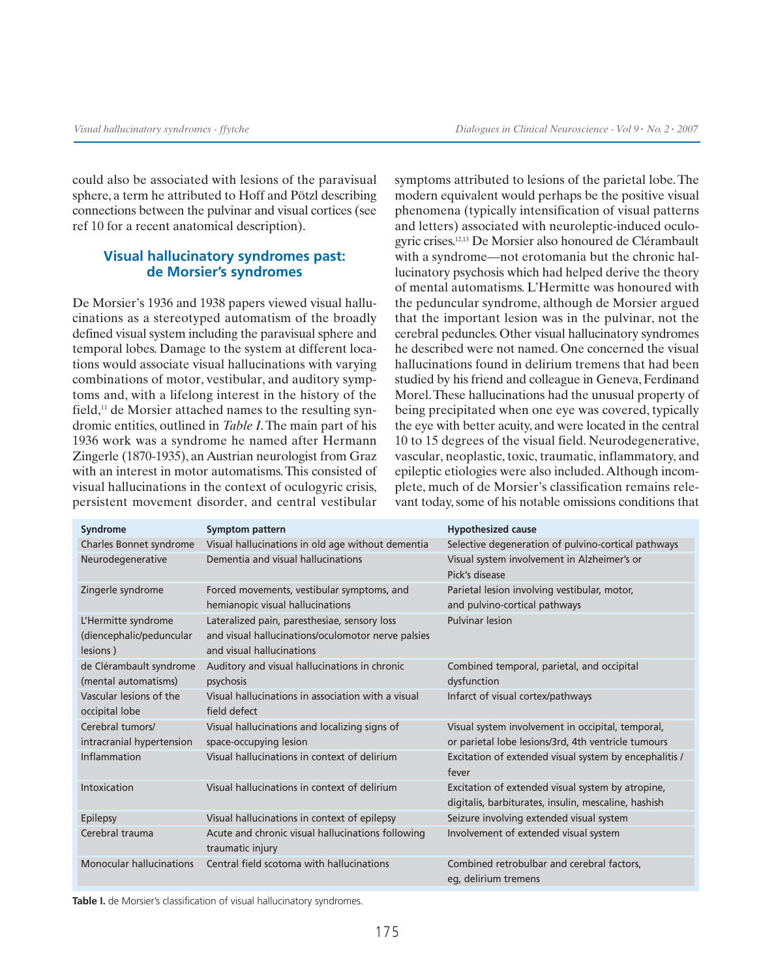could also be associated with lesions of the paravisual sphere, a term he attributed to Hoff and Pötzl describing connections between the pulvinar and visual cortices (see ref 10 for a recent anatomical description).

# **Visual hallucinatory syndromes past: de Morsier's syndromes**

De Morsier's 1936 and 1938 papers viewed visual hallucinations as a stereotyped automatism of the broadly defined visual system including the paravisual sphere and temporal lobes. Damage to the system at different locations would associate visual hallucinations with varying combinations of motor, vestibular, and auditory symptoms and, with a lifelong interest in the history of the field.<sup>11</sup> de Morsier attached names to the resulting syndromic entities, outlined in *Table I*. The main part of his 1936 work was a syndrome he named after Hermann Zingerle (1870-1935), an Austrian neurologist from Graz with an interest in motor automatisms. This consisted of visual hallucinations in the context of oculogyric crisis, persistent movement disorder, and central vestibular symptoms attributed to lesions of the parietal lobe. The modern equivalent would perhaps be the positive visual phenomena (typically intensification of visual patterns and letters) associated with neuroleptic-induced oculogyric crises.12,13 De Morsier also honoured de Clérambault with a syndrome—not erotomania but the chronic hallucinatory psychosis which had helped derive the theory of mental automatisms. L'Hermitte was honoured with the peduncular syndrome, although de Morsier argued that the important lesion was in the pulvinar, not the cerebral peduncles. Other visual hallucinatory syndromes he described were not named. One concerned the visual hallucinations found in delirium tremens that had been studied by his friend and colleague in Geneva, Ferdinand Morel.These hallucinations had the unusual property of being precipitated when one eye was covered, typically the eye with better acuity, and were located in the central 10 to 15 degrees of the visual field. Neurodegenerative, vascular, neoplastic, toxic, traumatic, inflammatory, and epileptic etiologies were also included.Although incomplete, much of de Morsier's classification remains relevant today, some of his notable omissions conditions that

| <b>Syndrome</b>           | Symptom pattern                                    | <b>Hypothesized cause</b>                              |
|---------------------------|----------------------------------------------------|--------------------------------------------------------|
| Charles Bonnet syndrome   | Visual hallucinations in old age without dementia  | Selective degeneration of pulvino-cortical pathways    |
| Neurodegenerative         | Dementia and visual hallucinations                 | Visual system involvement in Alzheimer's or            |
|                           |                                                    | Pick's disease                                         |
| Zingerle syndrome         | Forced movements, vestibular symptoms, and         | Parietal lesion involving vestibular, motor,           |
|                           | hemianopic visual hallucinations                   | and pulvino-cortical pathways                          |
| L'Hermitte syndrome       | Lateralized pain, paresthesiae, sensory loss       | <b>Pulvinar lesion</b>                                 |
| (diencephalic/peduncular  | and visual hallucinations/oculomotor nerve palsies |                                                        |
| lesions)                  | and visual hallucinations                          |                                                        |
| de Clérambault syndrome   | Auditory and visual hallucinations in chronic      | Combined temporal, parietal, and occipital             |
| (mental automatisms)      | psychosis                                          | dysfunction                                            |
| Vascular lesions of the   | Visual hallucinations in association with a visual | Infarct of visual cortex/pathways                      |
| occipital lobe            | field defect                                       |                                                        |
| Cerebral tumors/          | Visual hallucinations and localizing signs of      | Visual system involvement in occipital, temporal,      |
| intracranial hypertension | space-occupying lesion                             | or parietal lobe lesions/3rd, 4th ventricle tumours    |
| Inflammation              | Visual hallucinations in context of delirium       | Excitation of extended visual system by encephalitis / |
|                           |                                                    | fever                                                  |
| Intoxication              | Visual hallucinations in context of delirium       | Excitation of extended visual system by atropine,      |
|                           |                                                    | digitalis, barbiturates, insulin, mescaline, hashish   |
| Epilepsy                  | Visual hallucinations in context of epilepsy       | Seizure involving extended visual system               |
| Cerebral trauma           | Acute and chronic visual hallucinations following  | Involvement of extended visual system                  |
|                           | traumatic injury                                   |                                                        |
| Monocular hallucinations  | Central field scotoma with hallucinations          | Combined retrobulbar and cerebral factors,             |
|                           |                                                    | eg, delirium tremens                                   |

Table I. de Morsier's classification of visual hallucinatory syndromes.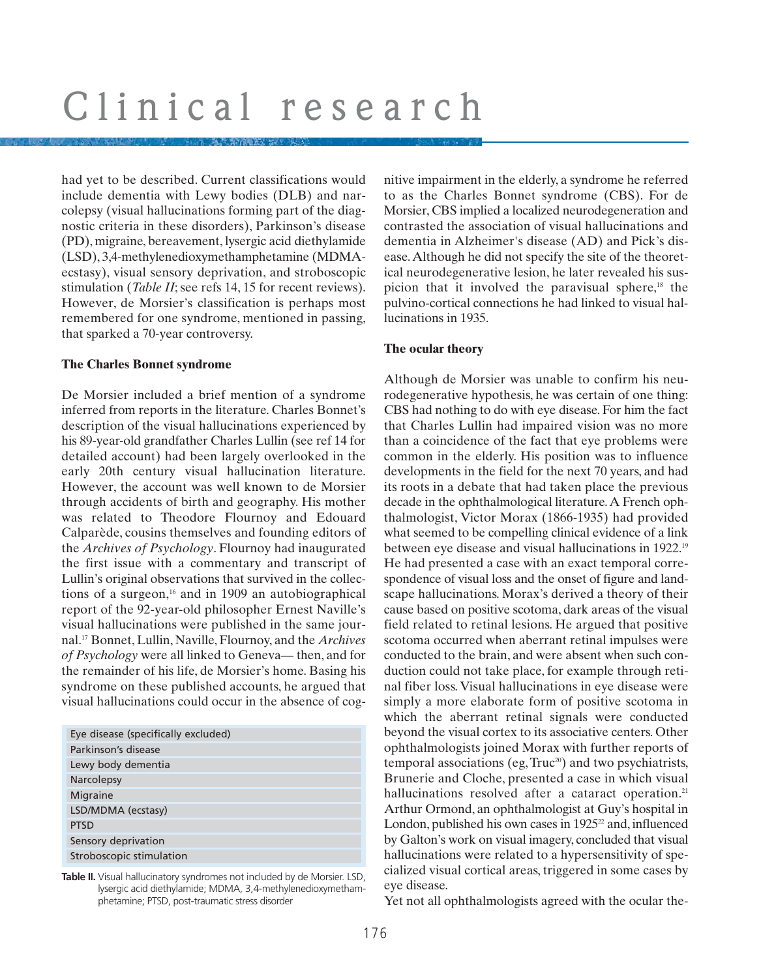had yet to be described. Current classifications would include dementia with Lewy bodies (DLB) and narcolepsy (visual hallucinations forming part of the diagnostic criteria in these disorders), Parkinson's disease (PD), migraine, bereavement, lysergic acid diethylamide (LSD), 3,4-methylenedioxymethamphetamine (MDMAecstasy), visual sensory deprivation, and stroboscopic stimulation (*Table II*; see refs 14, 15 for recent reviews). However, de Morsier's classification is perhaps most remembered for one syndrome, mentioned in passing, that sparked a 70-year controversy.

#### **The Charles Bonnet syndrome**

De Morsier included a brief mention of a syndrome inferred from reports in the literature. Charles Bonnet's description of the visual hallucinations experienced by his 89-year-old grandfather Charles Lullin (see ref 14 for detailed account) had been largely overlooked in the early 20th century visual hallucination literature. However, the account was well known to de Morsier through accidents of birth and geography. His mother was related to Theodore Flournoy and Edouard Calparède, cousins themselves and founding editors of the *Archives of Psychology*. Flournoy had inaugurated the first issue with a commentary and transcript of Lullin's original observations that survived in the collections of a surgeon, $16$  and in 1909 an autobiographical report of the 92-year-old philosopher Ernest Naville's visual hallucinations were published in the same journal.17 Bonnet, Lullin, Naville, Flournoy, and the *Archives of Psychology* were all linked to Geneva— then, and for the remainder of his life, de Morsier's home. Basing his syndrome on these published accounts, he argued that visual hallucinations could occur in the absence of cog-

| Eye disease (specifically excluded) |  |  |
|-------------------------------------|--|--|
| Parkinson's disease                 |  |  |
| Lewy body dementia                  |  |  |
| Narcolepsy                          |  |  |
| Migraine                            |  |  |
| LSD/MDMA (ecstasy)                  |  |  |
| <b>PTSD</b>                         |  |  |
| Sensory deprivation                 |  |  |
| Stroboscopic stimulation            |  |  |

**Table II.** Visual hallucinatory syndromes not included by de Morsier. LSD, lysergic acid diethylamide; MDMA, 3,4-methylenedioxymethamphetamine; PTSD, post-traumatic stress disorder

nitive impairment in the elderly, a syndrome he referred to as the Charles Bonnet syndrome (CBS). For de Morsier, CBS implied a localized neurodegeneration and contrasted the association of visual hallucinations and dementia in Alzheimer's disease (AD) and Pick's disease.Although he did not specify the site of the theoretical neurodegenerative lesion, he later revealed his suspicion that it involved the paravisual sphere,<sup>18</sup> the pulvino-cortical connections he had linked to visual hallucinations in 1935.

### **The ocular theory**

Although de Morsier was unable to confirm his neurodegenerative hypothesis, he was certain of one thing: CBS had nothing to do with eye disease. For him the fact that Charles Lullin had impaired vision was no more than a coincidence of the fact that eye problems were common in the elderly. His position was to influence developments in the field for the next 70 years, and had its roots in a debate that had taken place the previous decade in the ophthalmological literature.A French ophthalmologist, Victor Morax (1866-1935) had provided what seemed to be compelling clinical evidence of a link between eye disease and visual hallucinations in 1922.19 He had presented a case with an exact temporal correspondence of visual loss and the onset of figure and landscape hallucinations. Morax's derived a theory of their cause based on positive scotoma, dark areas of the visual field related to retinal lesions. He argued that positive scotoma occurred when aberrant retinal impulses were conducted to the brain, and were absent when such conduction could not take place, for example through retinal fiber loss. Visual hallucinations in eye disease were simply a more elaborate form of positive scotoma in which the aberrant retinal signals were conducted beyond the visual cortex to its associative centers. Other ophthalmologists joined Morax with further reports of temporal associations (eg, Truc<sup>20</sup>) and two psychiatrists, Brunerie and Cloche, presented a case in which visual hallucinations resolved after a cataract operation.<sup>21</sup> Arthur Ormond, an ophthalmologist at Guy's hospital in London, published his own cases in  $1925^2$  and, influenced by Galton's work on visual imagery, concluded that visual hallucinations were related to a hypersensitivity of specialized visual cortical areas, triggered in some cases by eye disease.

Yet not all ophthalmologists agreed with the ocular the-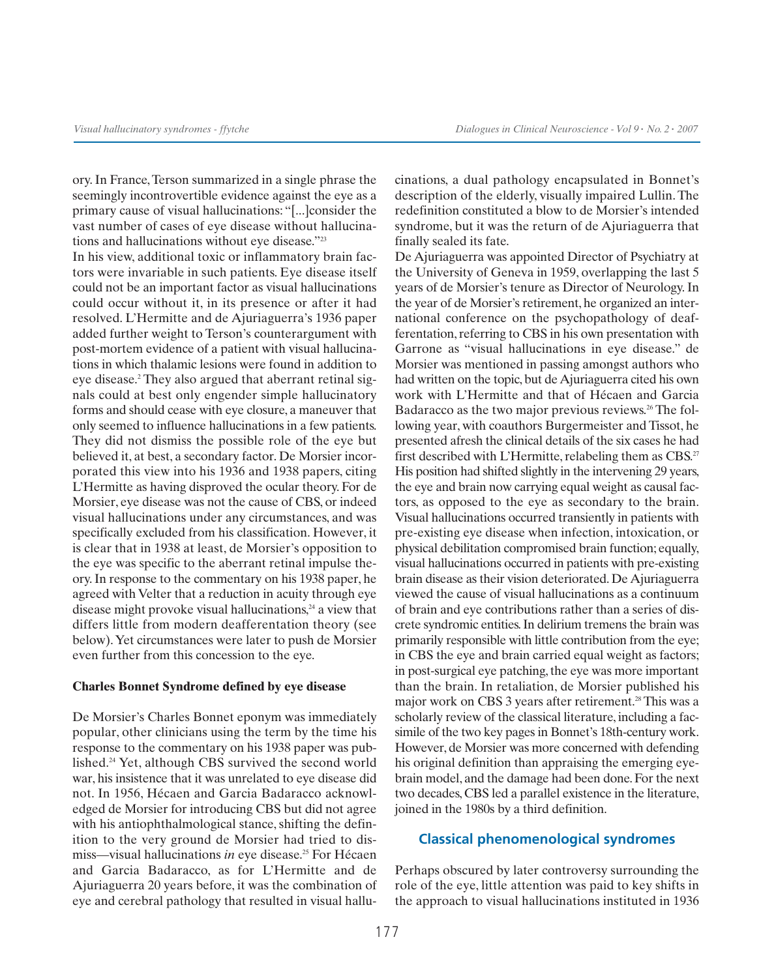ory. In France,Terson summarized in a single phrase the seemingly incontrovertible evidence against the eye as a primary cause of visual hallucinations: "[...]consider the vast number of cases of eye disease without hallucinations and hallucinations without eye disease."23

In his view, additional toxic or inflammatory brain factors were invariable in such patients. Eye disease itself could not be an important factor as visual hallucinations could occur without it, in its presence or after it had resolved. L'Hermitte and de Ajuriaguerra's 1936 paper added further weight to Terson's counterargument with post-mortem evidence of a patient with visual hallucinations in which thalamic lesions were found in addition to eye disease.2 They also argued that aberrant retinal signals could at best only engender simple hallucinatory forms and should cease with eye closure, a maneuver that only seemed to influence hallucinations in a few patients. They did not dismiss the possible role of the eye but believed it, at best, a secondary factor. De Morsier incorporated this view into his 1936 and 1938 papers, citing L'Hermitte as having disproved the ocular theory. For de Morsier, eye disease was not the cause of CBS, or indeed visual hallucinations under any circumstances, and was specifically excluded from his classification. However, it is clear that in 1938 at least, de Morsier's opposition to the eye was specific to the aberrant retinal impulse theory. In response to the commentary on his 1938 paper, he agreed with Velter that a reduction in acuity through eye disease might provoke visual hallucinations,<sup>24</sup> a view that differs little from modern deafferentation theory (see below).Yet circumstances were later to push de Morsier even further from this concession to the eye.

#### **Charles Bonnet Syndrome defined by eye disease**

De Morsier's Charles Bonnet eponym was immediately popular, other clinicians using the term by the time his response to the commentary on his 1938 paper was published.24 Yet, although CBS survived the second world war, his insistence that it was unrelated to eye disease did not. In 1956, Hécaen and Garcia Badaracco acknowledged de Morsier for introducing CBS but did not agree with his antiophthalmological stance, shifting the definition to the very ground de Morsier had tried to dismiss—visual hallucinations *in* eye disease.<sup>25</sup> For Hécaen and Garcia Badaracco, as for L'Hermitte and de Ajuriaguerra 20 years before, it was the combination of eye and cerebral pathology that resulted in visual hallucinations, a dual pathology encapsulated in Bonnet's description of the elderly, visually impaired Lullin. The redefinition constituted a blow to de Morsier's intended syndrome, but it was the return of de Ajuriaguerra that finally sealed its fate.

De Ajuriaguerra was appointed Director of Psychiatry at the University of Geneva in 1959, overlapping the last 5 years of de Morsier's tenure as Director of Neurology. In the year of de Morsier's retirement, he organized an international conference on the psychopathology of deafferentation, referring to CBS in his own presentation with Garrone as "visual hallucinations in eye disease." de Morsier was mentioned in passing amongst authors who had written on the topic, but de Ajuriaguerra cited his own work with L'Hermitte and that of Hécaen and Garcia Badaracco as the two major previous reviews.<sup>26</sup> The following year, with coauthors Burgermeister and Tissot, he presented afresh the clinical details of the six cases he had first described with L'Hermitte, relabeling them as CBS.<sup>27</sup> His position had shifted slightly in the intervening 29 years, the eye and brain now carrying equal weight as causal factors, as opposed to the eye as secondary to the brain. Visual hallucinations occurred transiently in patients with pre-existing eye disease when infection, intoxication, or physical debilitation compromised brain function; equally, visual hallucinations occurred in patients with pre-existing brain disease as their vision deteriorated. De Ajuriaguerra viewed the cause of visual hallucinations as a continuum of brain and eye contributions rather than a series of discrete syndromic entities. In delirium tremens the brain was primarily responsible with little contribution from the eye; in CBS the eye and brain carried equal weight as factors; in post-surgical eye patching, the eye was more important than the brain. In retaliation, de Morsier published his major work on CBS 3 years after retirement.<sup>28</sup> This was a scholarly review of the classical literature, including a facsimile of the two key pages in Bonnet's 18th-century work. However, de Morsier was more concerned with defending his original definition than appraising the emerging eyebrain model, and the damage had been done. For the next two decades, CBS led a parallel existence in the literature, joined in the 1980s by a third definition.

### **Classical phenomenological syndromes**

Perhaps obscured by later controversy surrounding the role of the eye, little attention was paid to key shifts in the approach to visual hallucinations instituted in 1936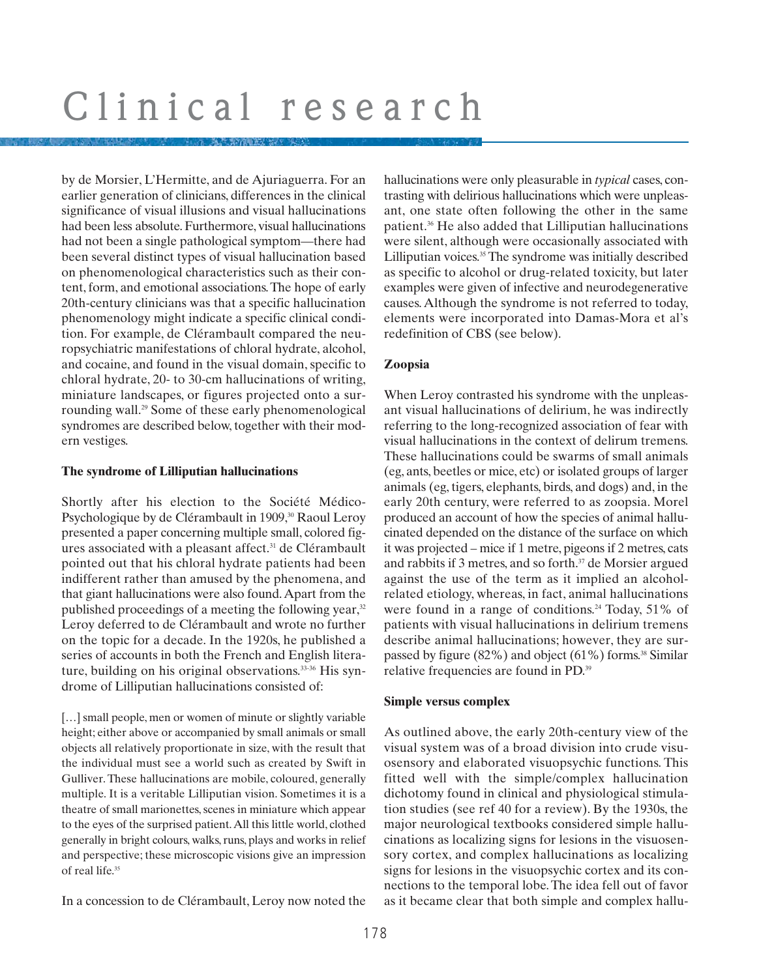by de Morsier, L'Hermitte, and de Ajuriaguerra. For an earlier generation of clinicians, differences in the clinical significance of visual illusions and visual hallucinations had been less absolute. Furthermore, visual hallucinations had not been a single pathological symptom—there had been several distinct types of visual hallucination based on phenomenological characteristics such as their content, form, and emotional associations.The hope of early 20th-century clinicians was that a specific hallucination phenomenology might indicate a specific clinical condition. For example, de Clérambault compared the neuropsychiatric manifestations of chloral hydrate, alcohol, and cocaine, and found in the visual domain, specific to chloral hydrate, 20- to 30-cm hallucinations of writing, miniature landscapes, or figures projected onto a surrounding wall.29 Some of these early phenomenological syndromes are described below, together with their modern vestiges.

# **The syndrome of Lilliputian hallucinations**

Shortly after his election to the Société Médico-Psychologique by de Clérambault in 1909,<sup>30</sup> Raoul Leroy presented a paper concerning multiple small, colored figures associated with a pleasant affect.<sup>31</sup> de Clérambault pointed out that his chloral hydrate patients had been indifferent rather than amused by the phenomena, and that giant hallucinations were also found.Apart from the published proceedings of a meeting the following year,<sup>32</sup> Leroy deferred to de Clérambault and wrote no further on the topic for a decade. In the 1920s, he published a series of accounts in both the French and English literature, building on his original observations.<sup>33-36</sup> His syndrome of Lilliputian hallucinations consisted of:

[...] small people, men or women of minute or slightly variable height; either above or accompanied by small animals or small objects all relatively proportionate in size, with the result that the individual must see a world such as created by Swift in Gulliver. These hallucinations are mobile, coloured, generally multiple. It is a veritable Lilliputian vision. Sometimes it is a theatre of small marionettes, scenes in miniature which appear to the eyes of the surprised patient.All this little world, clothed generally in bright colours, walks, runs, plays and works in relief and perspective; these microscopic visions give an impression of real life.35

In a concession to de Clérambault, Leroy now noted the

hallucinations were only pleasurable in *typical* cases, contrasting with delirious hallucinations which were unpleasant, one state often following the other in the same patient.36 He also added that Lilliputian hallucinations were silent, although were occasionally associated with Lilliputian voices.<sup>35</sup> The syndrome was initially described as specific to alcohol or drug-related toxicity, but later examples were given of infective and neurodegenerative causes. Although the syndrome is not referred to today, elements were incorporated into Damas-Mora et al's redefinition of CBS (see below).

# **Zoopsia**

When Leroy contrasted his syndrome with the unpleasant visual hallucinations of delirium, he was indirectly referring to the long-recognized association of fear with visual hallucinations in the context of delirum tremens. These hallucinations could be swarms of small animals (eg, ants, beetles or mice, etc) or isolated groups of larger animals (eg, tigers, elephants, birds, and dogs) and, in the early 20th century, were referred to as zoopsia. Morel produced an account of how the species of animal hallucinated depended on the distance of the surface on which it was projected – mice if 1 metre, pigeons if 2 metres, cats and rabbits if 3 metres, and so forth.<sup>37</sup> de Morsier argued against the use of the term as it implied an alcoholrelated etiology, whereas, in fact, animal hallucinations were found in a range of conditions.<sup>24</sup> Today,  $51\%$  of patients with visual hallucinations in delirium tremens describe animal hallucinations; however, they are surpassed by figure  $(82\%)$  and object  $(61\%)$  forms.<sup>38</sup> Similar relative frequencies are found in PD.39

# **Simple versus complex**

As outlined above, the early 20th-century view of the visual system was of a broad division into crude visuosensory and elaborated visuopsychic functions. This fitted well with the simple/complex hallucination dichotomy found in clinical and physiological stimulation studies (see ref 40 for a review). By the 1930s, the major neurological textbooks considered simple hallucinations as localizing signs for lesions in the visuosensory cortex, and complex hallucinations as localizing signs for lesions in the visuopsychic cortex and its connections to the temporal lobe. The idea fell out of favor as it became clear that both simple and complex hallu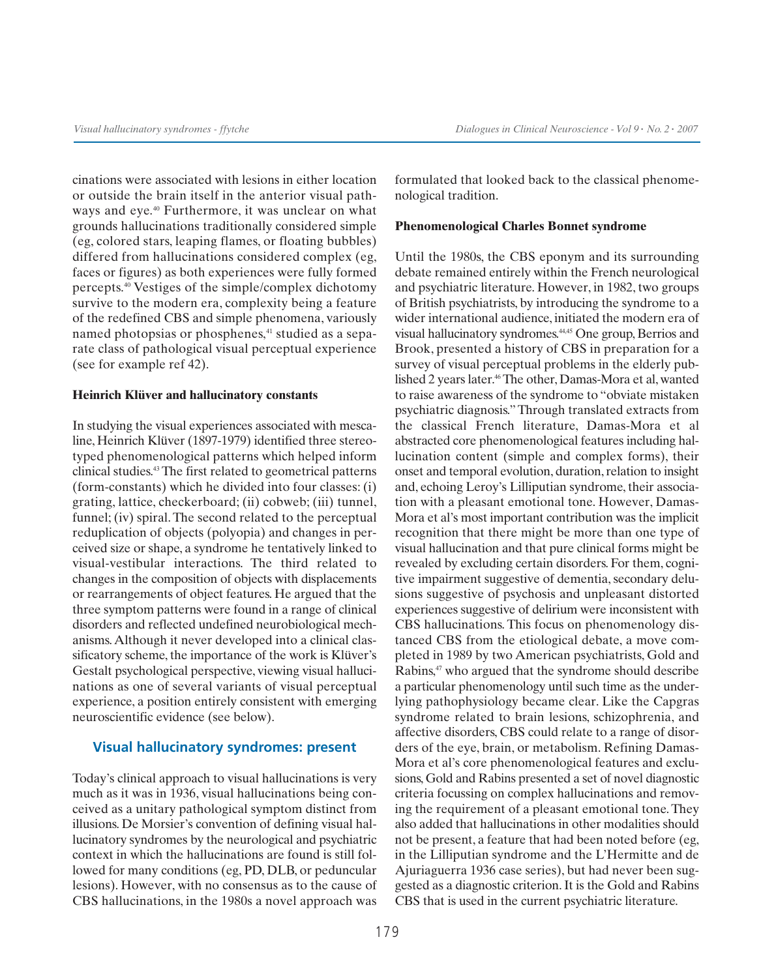cinations were associated with lesions in either location or outside the brain itself in the anterior visual pathways and eye.<sup>40</sup> Furthermore, it was unclear on what grounds hallucinations traditionally considered simple (eg, colored stars, leaping flames, or floating bubbles) differed from hallucinations considered complex (eg, faces or figures) as both experiences were fully formed percepts.40 Vestiges of the simple/complex dichotomy survive to the modern era, complexity being a feature of the redefined CBS and simple phenomena, variously named photopsias or phosphenes,<sup>41</sup> studied as a separate class of pathological visual perceptual experience (see for example ref 42).

#### **Heinrich Klüver and hallucinatory constants**

In studying the visual experiences associated with mescaline, Heinrich Klüver (1897-1979) identified three stereotyped phenomenological patterns which helped inform clinical studies.43 The first related to geometrical patterns (form-constants) which he divided into four classes: (i) grating, lattice, checkerboard; (ii) cobweb; (iii) tunnel, funnel; (iv) spiral. The second related to the perceptual reduplication of objects (polyopia) and changes in perceived size or shape, a syndrome he tentatively linked to visual-vestibular interactions. The third related to changes in the composition of objects with displacements or rearrangements of object features. He argued that the three symptom patterns were found in a range of clinical disorders and reflected undefined neurobiological mechanisms. Although it never developed into a clinical classificatory scheme, the importance of the work is Klüver's Gestalt psychological perspective, viewing visual hallucinations as one of several variants of visual perceptual experience, a position entirely consistent with emerging neuroscientific evidence (see below).

### **Visual hallucinatory syndromes: present**

Today's clinical approach to visual hallucinations is very much as it was in 1936, visual hallucinations being conceived as a unitary pathological symptom distinct from illusions. De Morsier's convention of defining visual hallucinatory syndromes by the neurological and psychiatric context in which the hallucinations are found is still followed for many conditions (eg, PD, DLB, or peduncular lesions). However, with no consensus as to the cause of CBS hallucinations, in the 1980s a novel approach was formulated that looked back to the classical phenomenological tradition.

#### **Phenomenological Charles Bonnet syndrome**

Until the 1980s, the CBS eponym and its surrounding debate remained entirely within the French neurological and psychiatric literature. However, in 1982, two groups of British psychiatrists, by introducing the syndrome to a wider international audience, initiated the modern era of visual hallucinatory syndromes.44,45 One group, Berrios and Brook, presented a history of CBS in preparation for a survey of visual perceptual problems in the elderly published 2 years later.<sup>46</sup>The other, Damas-Mora et al, wanted to raise awareness of the syndrome to "obviate mistaken psychiatric diagnosis." Through translated extracts from the classical French literature, Damas-Mora et al abstracted core phenomenological features including hallucination content (simple and complex forms), their onset and temporal evolution, duration, relation to insight and, echoing Leroy's Lilliputian syndrome, their association with a pleasant emotional tone. However, Damas-Mora et al's most important contribution was the implicit recognition that there might be more than one type of visual hallucination and that pure clinical forms might be revealed by excluding certain disorders. For them, cognitive impairment suggestive of dementia, secondary delusions suggestive of psychosis and unpleasant distorted experiences suggestive of delirium were inconsistent with CBS hallucinations. This focus on phenomenology distanced CBS from the etiological debate, a move completed in 1989 by two American psychiatrists, Gold and Rabins,<sup>47</sup> who argued that the syndrome should describe a particular phenomenology until such time as the underlying pathophysiology became clear. Like the Capgras syndrome related to brain lesions, schizophrenia, and affective disorders, CBS could relate to a range of disorders of the eye, brain, or metabolism. Refining Damas-Mora et al's core phenomenological features and exclusions, Gold and Rabins presented a set of novel diagnostic criteria focussing on complex hallucinations and removing the requirement of a pleasant emotional tone. They also added that hallucinations in other modalities should not be present, a feature that had been noted before (eg, in the Lilliputian syndrome and the L'Hermitte and de Ajuriaguerra 1936 case series), but had never been suggested as a diagnostic criterion. It is the Gold and Rabins CBS that is used in the current psychiatric literature.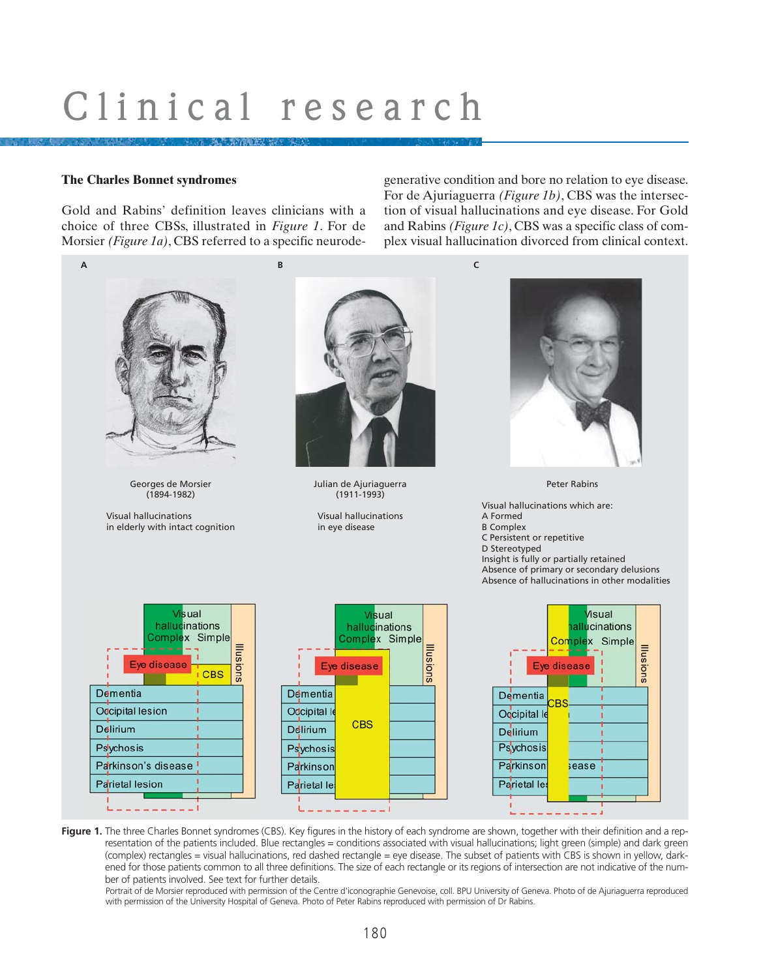### **The Charles Bonnet syndromes**

Gold and Rabins' definition leaves clinicians with a choice of three CBSs, illustrated in *Figure 1*. For de Morsier *(Figure 1a)*, CBS referred to a specific neurodegenerative condition and bore no relation to eye disease. For de Ajuriaguerra *(Figure 1b)*, CBS was the intersection of visual hallucinations and eye disease. For Gold and Rabins *(Figure 1c)*, CBS was a specific class of complex visual hallucination divorced from clinical context.



**Figure 1.** The three Charles Bonnet syndromes (CBS). Key figures in the history of each syndrome are shown, together with their definition and a representation of the patients included. Blue rectangles = conditions associated with visual hallucinations; light green (simple) and dark green (complex) rectangles = visual hallucinations, red dashed rectangle = eye disease. The subset of patients with CBS is shown in yellow, darkened for those patients common to all three definitions. The size of each rectangle or its regions of intersection are not indicative of the number of patients involved. See text for further details.

Portrait of de Morsier reproduced with permission of the Centre d'iconographie Genevoise, coll. BPU University of Geneva. Photo of de Ajuriaguerra reproduced with permission of the University Hospital of Geneva. Photo of Peter Rabins reproduced with permission of Dr Rabins.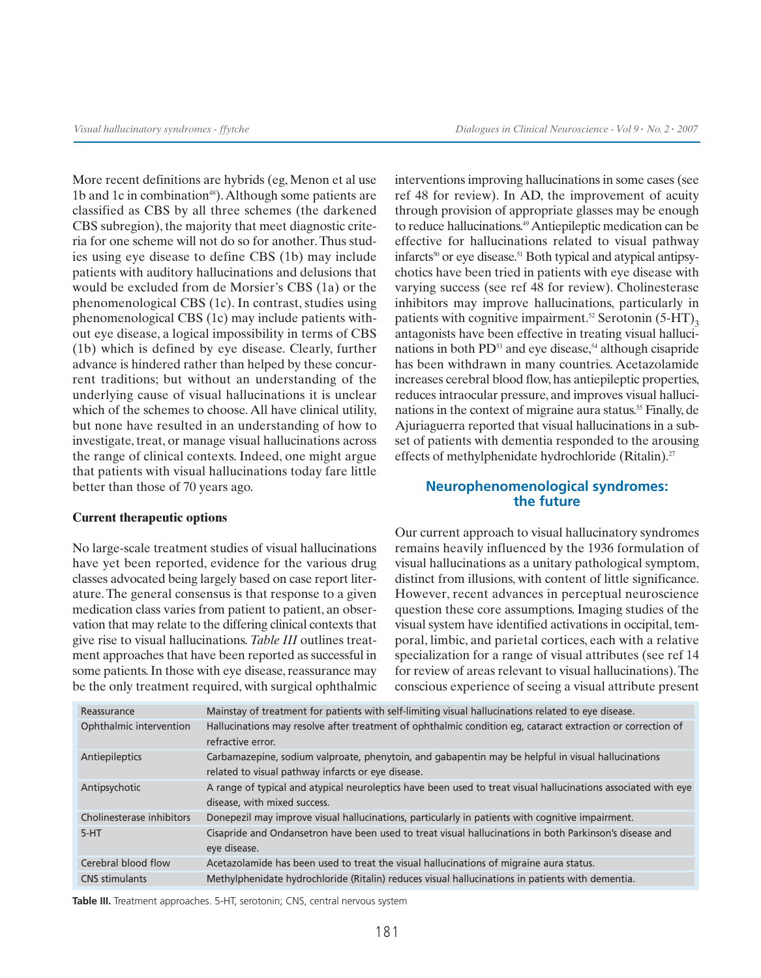*Visual hallucinatory syndromes - ffytche Dialogues in Clinical Neuroscience - Vol 9 . No. 2 . 2007*

More recent definitions are hybrids (eg, Menon et al use 1b and 1c in combination<sup>48</sup>). Although some patients are classified as CBS by all three schemes (the darkened CBS subregion), the majority that meet diagnostic criteria for one scheme will not do so for another.Thus studies using eye disease to define CBS (1b) may include patients with auditory hallucinations and delusions that would be excluded from de Morsier's CBS (1a) or the phenomenological CBS (1c). In contrast, studies using phenomenological CBS (1c) may include patients without eye disease, a logical impossibility in terms of CBS (1b) which is defined by eye disease. Clearly, further advance is hindered rather than helped by these concurrent traditions; but without an understanding of the underlying cause of visual hallucinations it is unclear which of the schemes to choose. All have clinical utility, but none have resulted in an understanding of how to investigate, treat, or manage visual hallucinations across the range of clinical contexts. Indeed, one might argue that patients with visual hallucinations today fare little better than those of 70 years ago.

#### **Current therapeutic options**

No large-scale treatment studies of visual hallucinations have yet been reported, evidence for the various drug classes advocated being largely based on case report literature. The general consensus is that response to a given medication class varies from patient to patient, an observation that may relate to the differing clinical contexts that give rise to visual hallucinations. *Table III* outlines treatment approaches that have been reported as successful in some patients. In those with eye disease, reassurance may be the only treatment required, with surgical ophthalmic interventions improving hallucinations in some cases (see ref 48 for review). In AD, the improvement of acuity through provision of appropriate glasses may be enough to reduce hallucinations.<sup>49</sup> Antiepileptic medication can be effective for hallucinations related to visual pathway infarcts<sup>50</sup> or eye disease.<sup>51</sup> Both typical and atypical antipsychotics have been tried in patients with eye disease with varying success (see ref 48 for review). Cholinesterase inhibitors may improve hallucinations, particularly in patients with cognitive impairment.<sup>52</sup> Serotonin  $(5-HT)$ <sub>2</sub> antagonists have been effective in treating visual hallucinations in both  $PD<sup>53</sup>$  and eye disease,<sup>54</sup> although cisapride has been withdrawn in many countries. Acetazolamide increases cerebral blood flow, has antiepileptic properties, reduces intraocular pressure, and improves visual hallucinations in the context of migraine aura status.<sup>55</sup> Finally, de Ajuriaguerra reported that visual hallucinations in a subset of patients with dementia responded to the arousing effects of methylphenidate hydrochloride (Ritalin).<sup>27</sup>

# **Neurophenomenological syndromes: the future**

Our current approach to visual hallucinatory syndromes remains heavily influenced by the 1936 formulation of visual hallucinations as a unitary pathological symptom, distinct from illusions, with content of little significance. However, recent advances in perceptual neuroscience question these core assumptions. Imaging studies of the visual system have identified activations in occipital, temporal, limbic, and parietal cortices, each with a relative specialization for a range of visual attributes (see ref 14 for review of areas relevant to visual hallucinations).The conscious experience of seeing a visual attribute present

| Reassurance               | Mainstay of treatment for patients with self-limiting visual hallucinations related to eye disease.                                                      |
|---------------------------|----------------------------------------------------------------------------------------------------------------------------------------------------------|
| Ophthalmic intervention   | Hallucinations may resolve after treatment of ophthalmic condition eg, cataract extraction or correction of<br>refractive error.                         |
| Antiepileptics            | Carbamazepine, sodium valproate, phenytoin, and gabapentin may be helpful in visual hallucinations<br>related to visual pathway infarcts or eye disease. |
| Antipsychotic             | A range of typical and atypical neuroleptics have been used to treat visual hallucinations associated with eye<br>disease, with mixed success.           |
| Cholinesterase inhibitors | Donepezil may improve visual hallucinations, particularly in patients with cognitive impairment.                                                         |
| $5-HT$                    | Cisapride and Ondansetron have been used to treat visual hallucinations in both Parkinson's disease and<br>eye disease.                                  |
| Cerebral blood flow       | Acetazolamide has been used to treat the visual hallucinations of migraine aura status.                                                                  |
| <b>CNS</b> stimulants     | Methylphenidate hydrochloride (Ritalin) reduces visual hallucinations in patients with dementia.                                                         |

**Table III.** Treatment approaches. 5-HT, serotonin; CNS, central nervous system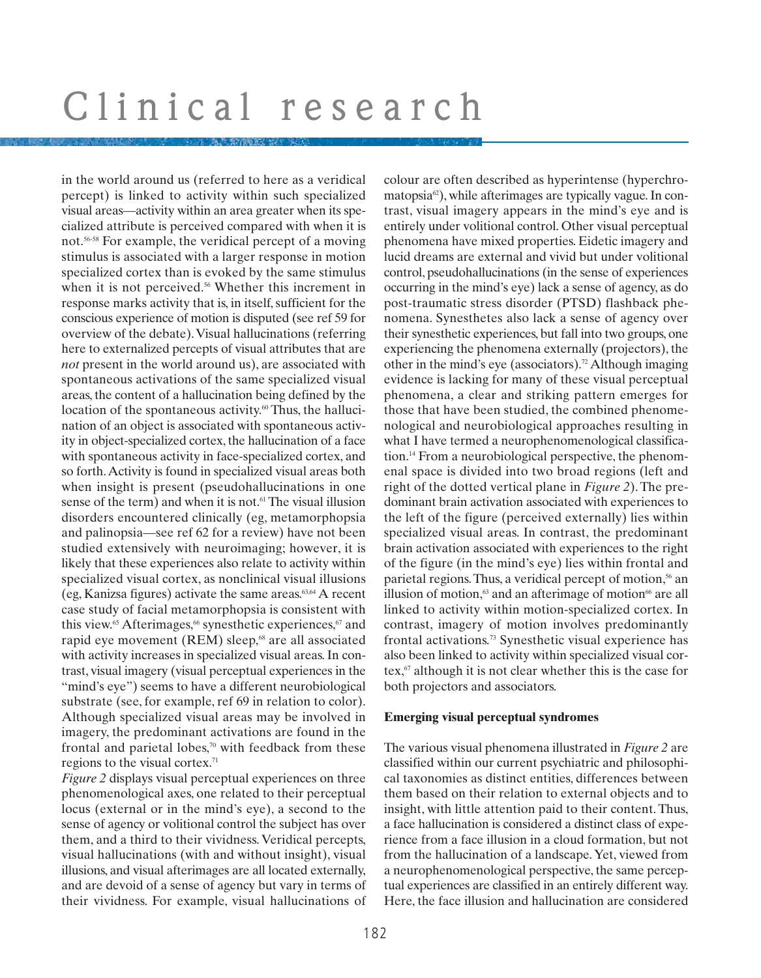in the world around us (referred to here as a veridical percept) is linked to activity within such specialized visual areas—activity within an area greater when its specialized attribute is perceived compared with when it is not.56-58 For example, the veridical percept of a moving stimulus is associated with a larger response in motion specialized cortex than is evoked by the same stimulus when it is not perceived.<sup>56</sup> Whether this increment in response marks activity that is, in itself, sufficient for the conscious experience of motion is disputed (see ref 59 for overview of the debate).Visual hallucinations (referring here to externalized percepts of visual attributes that are *not* present in the world around us), are associated with spontaneous activations of the same specialized visual areas, the content of a hallucination being defined by the location of the spontaneous activity.<sup>60</sup> Thus, the hallucination of an object is associated with spontaneous activity in object-specialized cortex, the hallucination of a face with spontaneous activity in face-specialized cortex, and so forth.Activity is found in specialized visual areas both when insight is present (pseudohallucinations in one sense of the term) and when it is not.<sup>61</sup> The visual illusion disorders encountered clinically (eg, metamorphopsia and palinopsia—see ref 62 for a review) have not been studied extensively with neuroimaging; however, it is likely that these experiences also relate to activity within specialized visual cortex, as nonclinical visual illusions (eg, Kanizsa figures) activate the same areas.63,64 A recent case study of facial metamorphopsia is consistent with this view.<sup>65</sup> Afterimages,<sup>66</sup> synesthetic experiences,<sup>67</sup> and rapid eye movement (REM) sleep,<sup>68</sup> are all associated with activity increases in specialized visual areas. In contrast, visual imagery (visual perceptual experiences in the "mind's eye") seems to have a different neurobiological substrate (see, for example, ref 69 in relation to color). Although specialized visual areas may be involved in imagery, the predominant activations are found in the frontal and parietal lobes, $\alpha$ <sup>0</sup> with feedback from these regions to the visual cortex.<sup>71</sup>

*Figure 2* displays visual perceptual experiences on three phenomenological axes, one related to their perceptual locus (external or in the mind's eye), a second to the sense of agency or volitional control the subject has over them, and a third to their vividness. Veridical percepts, visual hallucinations (with and without insight), visual illusions, and visual afterimages are all located externally, and are devoid of a sense of agency but vary in terms of their vividness. For example, visual hallucinations of colour are often described as hyperintense (hyperchromatopsia<sup>62</sup>), while afterimages are typically vague. In contrast, visual imagery appears in the mind's eye and is entirely under volitional control. Other visual perceptual phenomena have mixed properties. Eidetic imagery and lucid dreams are external and vivid but under volitional control, pseudohallucinations (in the sense of experiences occurring in the mind's eye) lack a sense of agency, as do post-traumatic stress disorder (PTSD) flashback phenomena. Synesthetes also lack a sense of agency over their synesthetic experiences, but fall into two groups, one experiencing the phenomena externally (projectors), the other in the mind's eye (associators).<sup>72</sup> Although imaging evidence is lacking for many of these visual perceptual phenomena, a clear and striking pattern emerges for those that have been studied, the combined phenomenological and neurobiological approaches resulting in what I have termed a neurophenomenological classification.14 From a neurobiological perspective, the phenomenal space is divided into two broad regions (left and right of the dotted vertical plane in *Figure 2*). The predominant brain activation associated with experiences to the left of the figure (perceived externally) lies within specialized visual areas. In contrast, the predominant brain activation associated with experiences to the right of the figure (in the mind's eye) lies within frontal and parietal regions. Thus, a veridical percept of motion,<sup>56</sup> an illusion of motion, $63$  and an afterimage of motion $66$  are all linked to activity within motion-specialized cortex. In contrast, imagery of motion involves predominantly frontal activations.73 Synesthetic visual experience has also been linked to activity within specialized visual cortex, $67$  although it is not clear whether this is the case for both projectors and associators.

### **Emerging visual perceptual syndromes**

The various visual phenomena illustrated in *Figure 2* are classified within our current psychiatric and philosophical taxonomies as distinct entities, differences between them based on their relation to external objects and to insight, with little attention paid to their content. Thus, a face hallucination is considered a distinct class of experience from a face illusion in a cloud formation, but not from the hallucination of a landscape. Yet, viewed from a neurophenomenological perspective, the same perceptual experiences are classified in an entirely different way. Here, the face illusion and hallucination are considered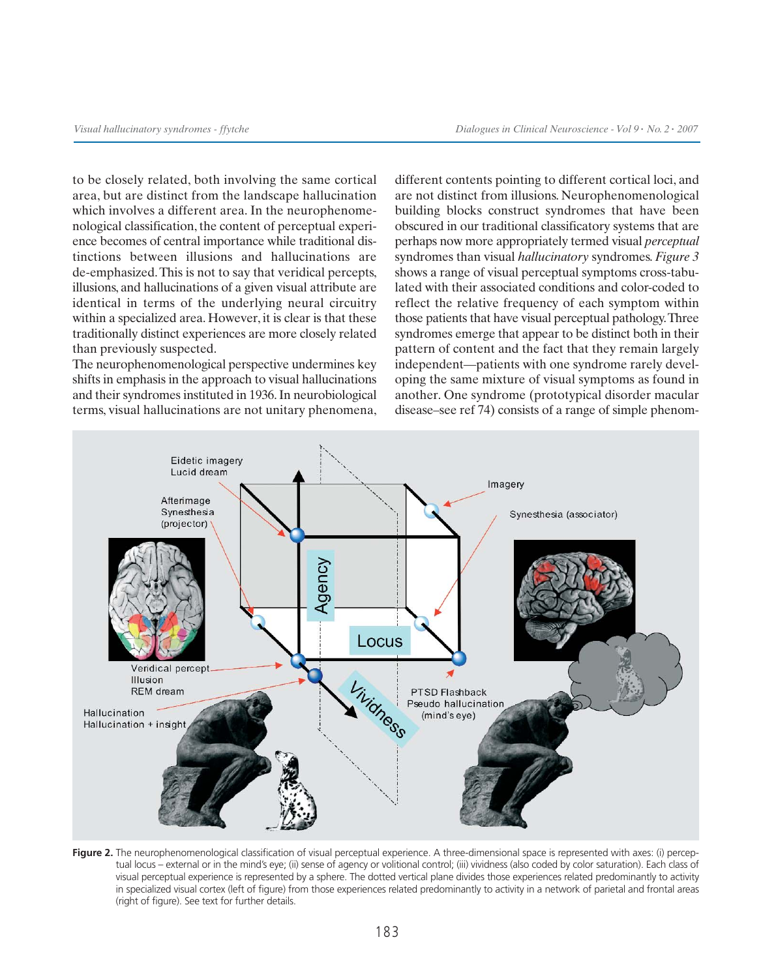to be closely related, both involving the same cortical area, but are distinct from the landscape hallucination which involves a different area. In the neurophenomenological classification, the content of perceptual experience becomes of central importance while traditional distinctions between illusions and hallucinations are de-emphasized.This is not to say that veridical percepts, illusions, and hallucinations of a given visual attribute are identical in terms of the underlying neural circuitry within a specialized area. However, it is clear is that these traditionally distinct experiences are more closely related than previously suspected.

The neurophenomenological perspective undermines key shifts in emphasis in the approach to visual hallucinations and their syndromes instituted in 1936. In neurobiological terms, visual hallucinations are not unitary phenomena, different contents pointing to different cortical loci, and are not distinct from illusions. Neurophenomenological building blocks construct syndromes that have been obscured in our traditional classificatory systems that are perhaps now more appropriately termed visual *perceptual* syndromes than visual *hallucinatory* syndromes. *Figure 3* shows a range of visual perceptual symptoms cross-tabulated with their associated conditions and color-coded to reflect the relative frequency of each symptom within those patients that have visual perceptual pathology.Three syndromes emerge that appear to be distinct both in their pattern of content and the fact that they remain largely independent—patients with one syndrome rarely developing the same mixture of visual symptoms as found in another. One syndrome (prototypical disorder macular disease–see ref 74) consists of a range of simple phenom-



Figure 2. The neurophenomenological classification of visual perceptual experience. A three-dimensional space is represented with axes: (i) perceptual locus – external or in the mind's eye; (ii) sense of agency or volitional control; (iii) vividness (also coded by color saturation). Each class of visual perceptual experience is represented by a sphere. The dotted vertical plane divides those experiences related predominantly to activity in specialized visual cortex (left of figure) from those experiences related predominantly to activity in a network of parietal and frontal areas (right of figure). See text for further details.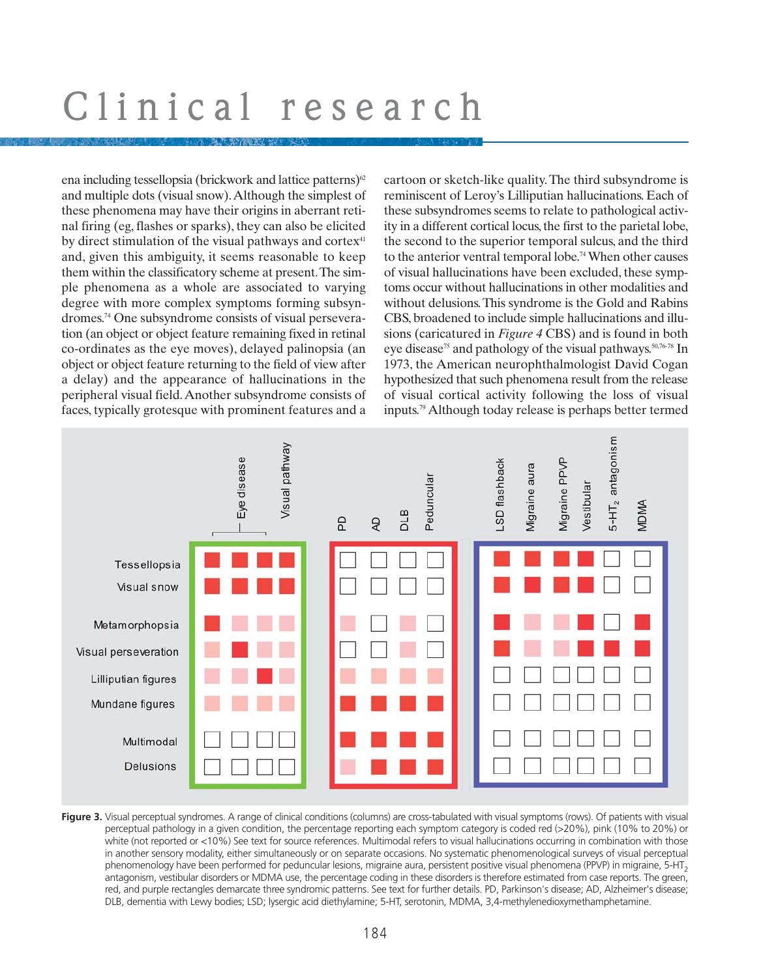ena including tessellopsia (brickwork and lattice patterns) $62$ and multiple dots (visual snow).Although the simplest of these phenomena may have their origins in aberrant retinal firing (eg, flashes or sparks), they can also be elicited by direct stimulation of the visual pathways and cortex<sup>41</sup> and, given this ambiguity, it seems reasonable to keep them within the classificatory scheme at present.The simple phenomena as a whole are associated to varying degree with more complex symptoms forming subsyndromes.74 One subsyndrome consists of visual perseveration (an object or object feature remaining fixed in retinal co-ordinates as the eye moves), delayed palinopsia (an object or object feature returning to the field of view after a delay) and the appearance of hallucinations in the peripheral visual field.Another subsyndrome consists of faces, typically grotesque with prominent features and a cartoon or sketch-like quality. The third subsyndrome is reminiscent of Leroy's Lilliputian hallucinations. Each of these subsyndromes seems to relate to pathological activity in a different cortical locus, the first to the parietal lobe, the second to the superior temporal sulcus, and the third to the anterior ventral temporal lobe.74When other causes of visual hallucinations have been excluded, these symptoms occur without hallucinations in other modalities and without delusions.This syndrome is the Gold and Rabins CBS, broadened to include simple hallucinations and illusions (caricatured in *Figure 4* CBS) and is found in both eye disease<sup>75</sup> and pathology of the visual pathways.<sup>50,76-78</sup> In 1973, the American neurophthalmologist David Cogan hypothesized that such phenomena result from the release of visual cortical activity following the loss of visual inputs.79 Although today release is perhaps better termed



Figure 3. Visual perceptual syndromes. A range of clinical conditions (columns) are cross-tabulated with visual symptoms (rows). Of patients with visual perceptual pathology in a given condition, the percentage reporting each symptom category is coded red (>20%), pink (10% to 20%) or white (not reported or <10%) See text for source references. Multimodal refers to visual hallucinations occurring in combination with those in another sensory modality, either simultaneously or on separate occasions. No systematic phenomenological surveys of visual perceptual phenomenology have been performed for peduncular lesions, migraine aura, persistent positive visual phenomena (PPVP) in migraine, 5-HT<sub>2</sub> antagonism, vestibular disorders or MDMA use, the percentage coding in these disorders is therefore estimated from case reports. The green, red, and purple rectangles demarcate three syndromic patterns. See text for further details. PD, Parkinson's disease; AD, Alzheimer's disease; DLB, dementia with Lewy bodies; LSD; lysergic acid diethylamine; 5-HT, serotonin, MDMA, 3,4-methylenedioxymethamphetamine.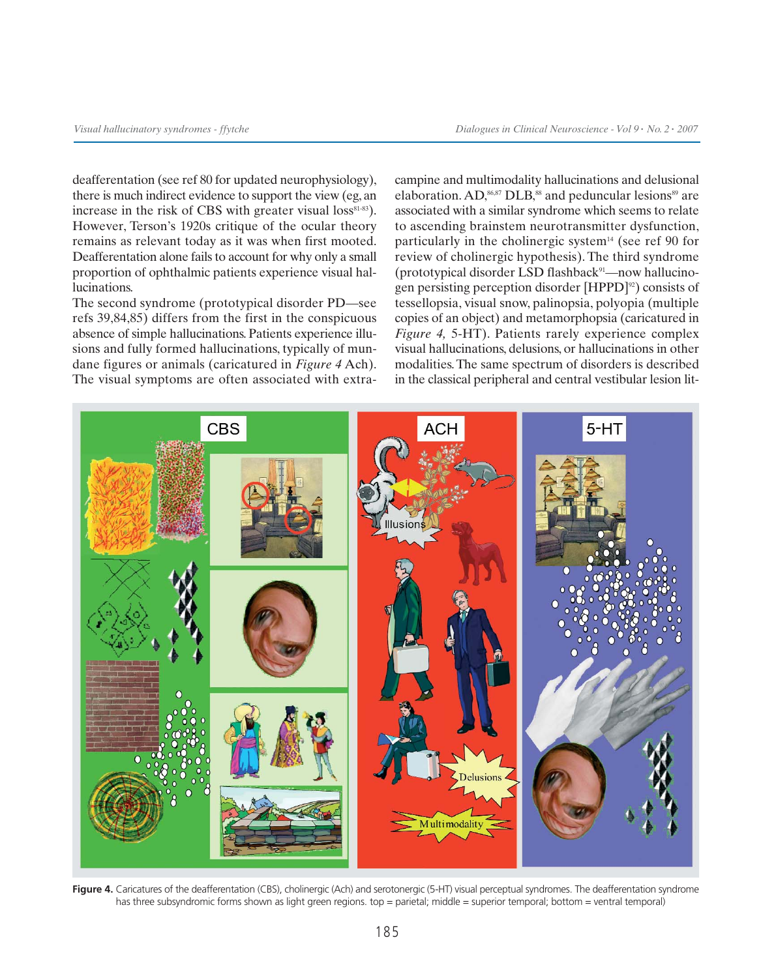deafferentation (see ref 80 for updated neurophysiology), there is much indirect evidence to support the view (eg, an increase in the risk of CBS with greater visual loss $s<sup>81-83</sup>$ ). However, Terson's 1920s critique of the ocular theory remains as relevant today as it was when first mooted. Deafferentation alone fails to account for why only a small proportion of ophthalmic patients experience visual hallucinations.

The second syndrome (prototypical disorder PD—see refs 39,84,85) differs from the first in the conspicuous absence of simple hallucinations. Patients experience illusions and fully formed hallucinations, typically of mundane figures or animals (caricatured in *Figure 4* Ach). The visual symptoms are often associated with extracampine and multimodality hallucinations and delusional elaboration. AD,<sup>86,87</sup> DLB,<sup>88</sup> and peduncular lesions<sup>89</sup> are associated with a similar syndrome which seems to relate to ascending brainstem neurotransmitter dysfunction, particularly in the cholinergic system<sup>14</sup> (see ref 90 for review of cholinergic hypothesis). The third syndrome (prototypical disorder LSD flashback $91$ —now hallucinogen persisting perception disorder  $[HPPD]^{\omega}$ ) consists of tessellopsia, visual snow, palinopsia, polyopia (multiple copies of an object) and metamorphopsia (caricatured in *Figure 4,* 5-HT). Patients rarely experience complex visual hallucinations, delusions, or hallucinations in other modalities. The same spectrum of disorders is described in the classical peripheral and central vestibular lesion lit-



Figure 4. Caricatures of the deafferentation (CBS), cholinergic (Ach) and serotonergic (5-HT) visual perceptual syndromes. The deafferentation syndrome has three subsyndromic forms shown as light green regions. top = parietal; middle = superior temporal; bottom = ventral temporal)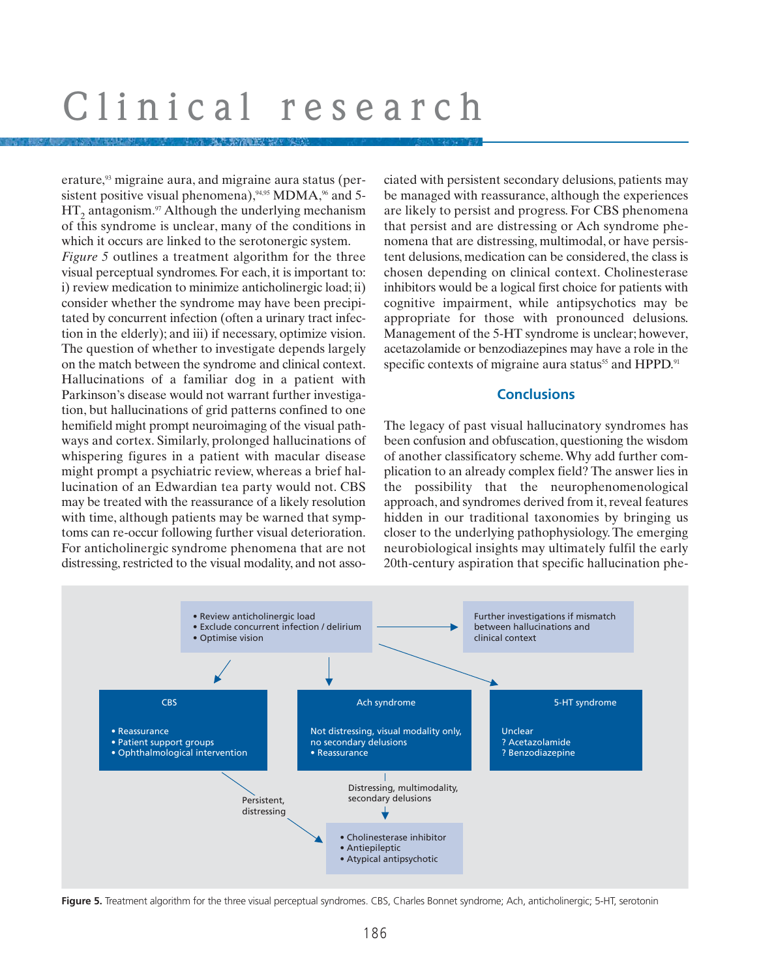erature,<sup>93</sup> migraine aura, and migraine aura status (persistent positive visual phenomena), $94,95$  MDMA, $96$  and 5- $HT_2$  antagonism.<sup>97</sup> Although the underlying mechanism of this syndrome is unclear, many of the conditions in which it occurs are linked to the serotonergic system. *Figure 5* outlines a treatment algorithm for the three visual perceptual syndromes. For each, it is important to: i) review medication to minimize anticholinergic load; ii) consider whether the syndrome may have been precipitated by concurrent infection (often a urinary tract infection in the elderly); and iii) if necessary, optimize vision. The question of whether to investigate depends largely on the match between the syndrome and clinical context. Hallucinations of a familiar dog in a patient with Parkinson's disease would not warrant further investigation, but hallucinations of grid patterns confined to one hemifield might prompt neuroimaging of the visual pathways and cortex. Similarly, prolonged hallucinations of whispering figures in a patient with macular disease might prompt a psychiatric review, whereas a brief hallucination of an Edwardian tea party would not. CBS may be treated with the reassurance of a likely resolution with time, although patients may be warned that symptoms can re-occur following further visual deterioration. For anticholinergic syndrome phenomena that are not distressing, restricted to the visual modality, and not associated with persistent secondary delusions, patients may be managed with reassurance, although the experiences are likely to persist and progress. For CBS phenomena that persist and are distressing or Ach syndrome phenomena that are distressing, multimodal, or have persistent delusions, medication can be considered, the class is chosen depending on clinical context. Cholinesterase inhibitors would be a logical first choice for patients with cognitive impairment, while antipsychotics may be appropriate for those with pronounced delusions. Management of the 5-HT syndrome is unclear; however, acetazolamide or benzodiazepines may have a role in the specific contexts of migraine aura status<sup>55</sup> and HPPD.<sup>91</sup>

# **Conclusions**

The legacy of past visual hallucinatory syndromes has been confusion and obfuscation, questioning the wisdom of another classificatory scheme. Why add further complication to an already complex field? The answer lies in the possibility that the neurophenomenological approach, and syndromes derived from it, reveal features hidden in our traditional taxonomies by bringing us closer to the underlying pathophysiology. The emerging neurobiological insights may ultimately fulfil the early 20th-century aspiration that specific hallucination phe-



**Figure 5.** Treatment algorithm for the three visual perceptual syndromes. CBS, Charles Bonnet syndrome; Ach, anticholinergic; 5-HT, serotonin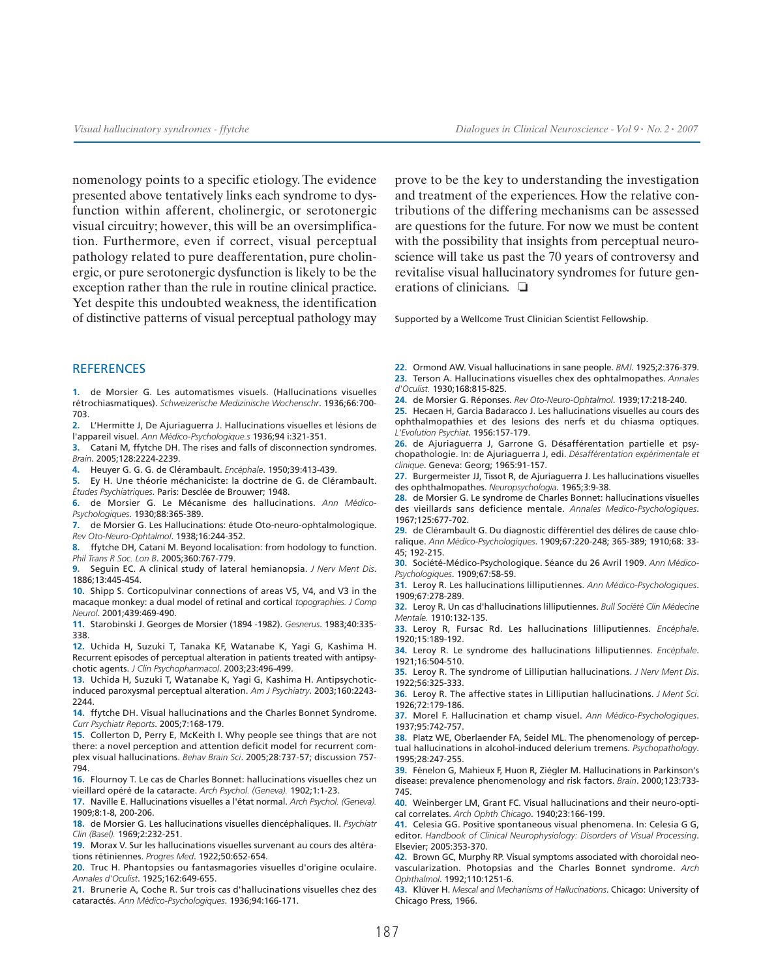nomenology points to a specific etiology. The evidence presented above tentatively links each syndrome to dysfunction within afferent, cholinergic, or serotonergic visual circuitry; however, this will be an oversimplification. Furthermore, even if correct, visual perceptual pathology related to pure deafferentation, pure cholinergic, or pure serotonergic dysfunction is likely to be the exception rather than the rule in routine clinical practice. Yet despite this undoubted weakness, the identification of distinctive patterns of visual perceptual pathology may prove to be the key to understanding the investigation and treatment of the experiences. How the relative contributions of the differing mechanisms can be assessed are questions for the future. For now we must be content with the possibility that insights from perceptual neuroscience will take us past the 70 years of controversy and revitalise visual hallucinatory syndromes for future generations of clinicians. ❏

Supported by a Wellcome Trust Clinician Scientist Fellowship.

#### **REFERENCES**

**1.** de Morsier G. Les automatismes visuels. (Hallucinations visuelles rétrochiasmatiques). *Schweizerische Medizinische Wochenschr*. 1936;66:700- 703.

**2.** L'Hermitte J, De Ajuriaguerra J. Hallucinations visuelles et lésions de l'appareil visuel. *Ann Médico-Psychologique.s* 1936;94 i:321-351.

**3.** Catani M, ffytche DH. The rises and falls of disconnection syndromes. *Brain*. 2005;128:2224-2239.

**4.** Heuyer G. G. G. de Clérambault. *Encéphale*. 1950;39:413-439.

**5.** Ey H. Une théorie méchaniciste: la doctrine de G. de Clérambault. *Études Psychiatriques*. Paris: Desclée de Brouwer; 1948.

**6.** de Morsier G. Le Mécanisme des hallucinations. *Ann Médico-Psychologiques*. 1930;88:365-389.

**7.** de Morsier G. Les Hallucinations: étude Oto-neuro-ophtalmologique. *Rev Oto-Neuro-Ophtalmol*. 1938;16:244-352.

**8.** ffytche DH, Catani M. Beyond localisation: from hodology to function. *Phil Trans R Soc. Lon B*. 2005;360:767-779.

**9.** Seguin EC. A clinical study of lateral hemianopsia. *J Nerv Ment Dis*. 1886;13:445-454.

**10.** Shipp S. Corticopulvinar connections of areas V5, V4, and V3 in the macaque monkey: a dual model of retinal and cortical *topographies. J Comp Neurol*. 2001;439:469-490.

**11.** Starobinski J. Georges de Morsier (1894 -1982). *Gesnerus*. 1983;40:335- 338.

**12.** Uchida H, Suzuki T, Tanaka KF, Watanabe K, Yagi G, Kashima H. Recurrent episodes of perceptual alteration in patients treated with antipsychotic agents. *J Clin Psychopharmacol*. 2003;23:496-499.

**13.** Uchida H, Suzuki T, Watanabe K, Yagi G, Kashima H. Antipsychoticinduced paroxysmal perceptual alteration. *Am J Psychiatry*. 2003;160:2243- 2244

**14.** ffytche DH. Visual hallucinations and the Charles Bonnet Syndrome. *Curr Psychiatr Reports*. 2005;7:168-179.

**15.** Collerton D, Perry E, McKeith I. Why people see things that are not there: a novel perception and attention deficit model for recurrent complex visual hallucinations. *Behav Brain Sci*. 2005;28:737-57; discussion 757- 794.

**16.** Flournoy T. Le cas de Charles Bonnet: hallucinations visuelles chez un vieillard opéré de la cataracte. *Arch Psychol. (Geneva).* 1902;1:1-23.

**17.** Naville E. Hallucinations visuelles a l'état normal. *Arch Psychol. (Geneva).* 1909;8:1-8, 200-206.

**18.** de Morsier G. Les hallucinations visuelles diencéphaliques. II. *Psychiatr Clin (Basel).* 1969;2:232-251.

**19.** Morax V. Sur les hallucinations visuelles survenant au cours des altérations rétiniennes. *Progres Med*. 1922;50:652-654.

**20.** Truc H. Phantopsies ou fantasmagories visuelles d'origine oculaire. *Annales d'Oculist*. 1925;162:649-655.

**21.** Brunerie A, Coche R. Sur trois cas d'hallucinations visuelles chez des cataractés. *Ann Médico-Psychologiques*. 1936;94:166-171.

**22.** Ormond AW. Visual hallucinations in sane people. *BMJ*. 1925;2:376-379. **23.** Terson A. Hallucinations visuelles chex des ophtalmopathes. *Annales d'Oculist.* 1930;168:815-825.

**24.** de Morsier G. Réponses. *Rev Oto-Neuro-Ophtalmol*. 1939;17:218-240.

**25.** Hecaen H, Garcia Badaracco J. Les hallucinations visuelles au cours des ophthalmopathies et des lesions des nerfs et du chiasma optiques. *L'Evolution Psychiat*. 1956:157-179.

**26.** de Ajuriaguerra J, Garrone G. Désafférentation partielle et psychopathologie. In: de Ajuriaguerra J, edi. *Désafférentation expérimentale et clinique*. Geneva: Georg; 1965:91-157.

**27.** Burgermeister JJ, Tissot R, de Ajuriaguerra J. Les hallucinations visuelles des ophthalmopathes. *Neuropsychologia*. 1965;3:9-38.

**28.** de Morsier G. Le syndrome de Charles Bonnet: hallucinations visuelles des vieillards sans deficience mentale. *Annales Medico-Psychologiques*. 1967;125:677-702.

**29.** de Clérambault G. Du diagnostic différentiel des délires de cause chloralique. *Ann Médico-Psychologiques*. 1909;67:220-248; 365-389; 1910;68: 33- 45; 192-215.

**30.** Société-Médico-Psychologique. Séance du 26 Avril 1909. *Ann Médico-Psychologiques*. 1909;67:58-59.

**31.** Leroy R. Les hallucinations lilliputiennes. *Ann Médico-Psychologiques*. 1909;67:278-289.

**32.** Leroy R. Un cas d'hallucinations lilliputiennes. *Bull Société Clin Médecine Mentale.* 1910:132-135.

**33.** Leroy R, Fursac Rd. Les hallucinations lilliputiennes. *Encéphale*. 1920;15:189-192.

**34.** Leroy R. Le syndrome des hallucinations lilliputiennes. *Encéphale*. 1921;16:504-510.

**35.** Leroy R. The syndrome of Lilliputian hallucinations. *J Nerv Ment Dis*. 1922;56:325-333.

**36.** Leroy R. The affective states in Lilliputian hallucinations. *J Ment Sci*. 1926;72:179-186.

**37.** Morel F. Hallucination et champ visuel. *Ann Médico-Psychologiques*. 1937;95:742-757.

**38.** Platz WE, Oberlaender FA, Seidel ML. The phenomenology of perceptual hallucinations in alcohol-induced delerium tremens. *Psychopathology*. 1995;28:247-255.

**39.** Fénelon G, Mahieux F, Huon R, Ziégler M. Hallucinations in Parkinson's disease: prevalence phenomenology and risk factors. *Brain*. 2000;123:733- 745.

**40.** Weinberger LM, Grant FC. Visual hallucinations and their neuro-optical correlates. *Arch Ophth Chicago*. 1940;23:166-199.

**41.** Celesia GG. Positive spontaneous visual phenomena. In: Celesia G G, editor. *Handbook of Clinical Neurophysiology: Disorders of Visual Processing*. Elsevier; 2005:353-370.

**42.** Brown GC, Murphy RP. Visual symptoms associated with choroidal neovascularization. Photopsias and the Charles Bonnet syndrome. *Arch Ophthalmol*. 1992;110:1251-6.

**43.** Klüver H. *Mescal and Mechanisms of Hallucinations*. Chicago: University of Chicago Press, 1966.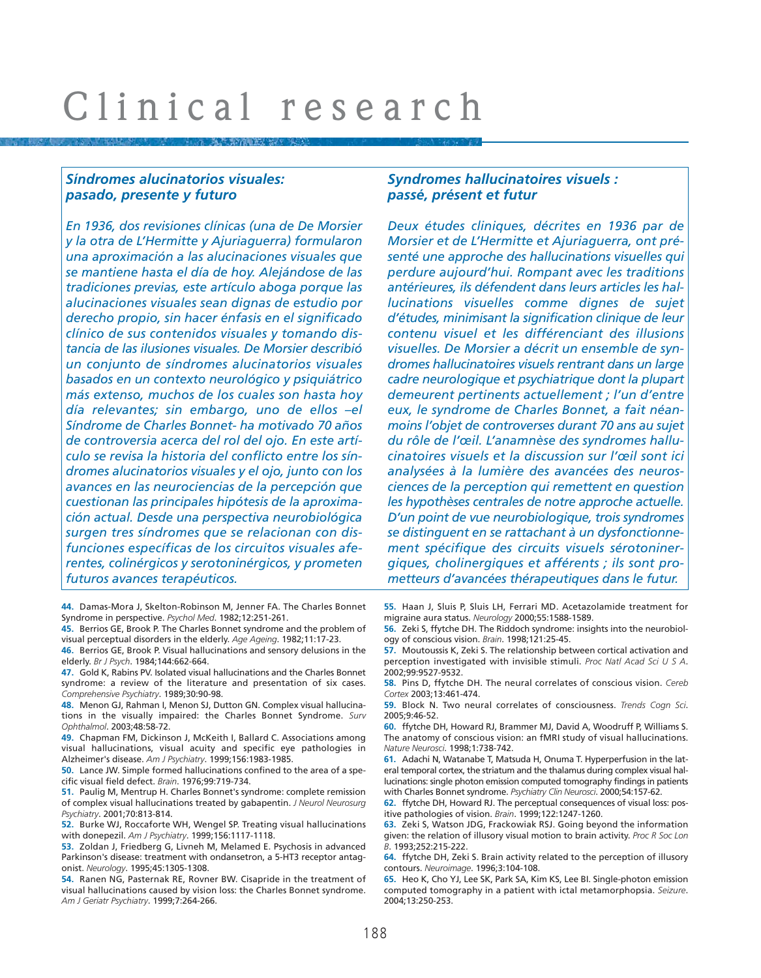# *Síndromes alucinatorios visuales: pasado, presente y futuro*

*En 1936, dos revisiones clínicas (una de De Morsier y la otra de L'Hermitte y Ajuriaguerra) formularon una aproximación a las alucinaciones visuales que se mantiene hasta el día de hoy. Alejándose de las tradiciones previas, este artículo aboga porque las alucinaciones visuales sean dignas de estudio por derecho propio, sin hacer énfasis en el significado clínico de sus contenidos visuales y tomando distancia de las ilusiones visuales. De Morsier describió un conjunto de síndromes alucinatorios visuales basados en un contexto neurológico y psiquiátrico más extenso, muchos de los cuales son hasta hoy día relevantes; sin embargo, uno de ellos –el Síndrome de Charles Bonnet- ha motivado 70 años de controversia acerca del rol del ojo. En este artículo se revisa la historia del conflicto entre los síndromes alucinatorios visuales y el ojo, junto con los avances en las neurociencias de la percepción que cuestionan las principales hipótesis de la aproximación actual. Desde una perspectiva neurobiológica surgen tres síndromes que se relacionan con disfunciones específicas de los circuitos visuales aferentes, colinérgicos y serotoninérgicos, y prometen futuros avances terapéuticos.*

**44.** Damas-Mora J, Skelton-Robinson M, Jenner FA. The Charles Bonnet Syndrome in perspective. *Psychol Med*. 1982;12:251-261.

**45.** Berrios GE, Brook P. The Charles Bonnet syndrome and the problem of visual perceptual disorders in the elderly. *Age Ageing*. 1982;11:17-23.

**46.** Berrios GE, Brook P. Visual hallucinations and sensory delusions in the elderly. *Br J Psych*. 1984;144:662-664.

**47.** Gold K, Rabins PV. Isolated visual hallucinations and the Charles Bonnet syndrome: a review of the literature and presentation of six cases. *Comprehensive Psychiatry*. 1989;30:90-98.

**48.** Menon GJ, Rahman I, Menon SJ, Dutton GN. Complex visual hallucinations in the visually impaired: the Charles Bonnet Syndrome. *Surv Ophthalmol*. 2003;48:58-72.

**49.** Chapman FM, Dickinson J, McKeith I, Ballard C. Associations among visual hallucinations, visual acuity and specific eye pathologies in Alzheimer's disease. *Am J Psychiatry*. 1999;156:1983-1985.

**50.** Lance JW. Simple formed hallucinations confined to the area of a specific visual field defect. *Brain*. 1976;99:719-734.

**51.** Paulig M, Mentrup H. Charles Bonnet's syndrome: complete remission of complex visual hallucinations treated by gabapentin. *J Neurol Neurosurg Psychiatry*. 2001;70:813-814.

**52.** Burke WJ, Roccaforte WH, Wengel SP. Treating visual hallucinations with donepezil. *Am J Psychiatry*. 1999;156:1117-1118.

**53.** Zoldan J, Friedberg G, Livneh M, Melamed E. Psychosis in advanced Parkinson's disease: treatment with ondansetron, a 5-HT3 receptor antagonist. *Neurology*. 1995;45:1305-1308.

**54.** Ranen NG, Pasternak RE, Rovner BW. Cisapride in the treatment of visual hallucinations caused by vision loss: the Charles Bonnet syndrome. *Am J Geriatr Psychiatry*. 1999;7:264-266.

### *Syndromes hallucinatoires visuels : passé, présent et futur*

*Deux études cliniques, décrites en 1936 par de Morsier et de L'Hermitte et Ajuriaguerra, ont présenté une approche des hallucinations visuelles qui perdure aujourd'hui. Rompant avec les traditions antérieures, ils défendent dans leurs articles les hallucinations visuelles comme dignes de sujet d'études, minimisant la signification clinique de leur contenu visuel et les différenciant des illusions visuelles. De Morsier a décrit un ensemble de syndromes hallucinatoires visuels rentrant dans un large cadre neurologique et psychiatrique dont la plupart demeurent pertinents actuellement ; l'un d'entre eux, le syndrome de Charles Bonnet, a fait néanmoins l'objet de controverses durant 70 ans au sujet du rôle de l'œil. L'anamnèse des syndromes hallucinatoires visuels et la discussion sur l'œil sont ici analysées à la lumière des avancées des neurosciences de la perception qui remettent en question les hypothèses centrales de notre approche actuelle. D'un point de vue neurobiologique, trois syndromes se distinguent en se rattachant à un dysfonctionnement spécifique des circuits visuels sérotoninergiques, cholinergiques et afférents ; ils sont prometteurs d'avancées thérapeutiques dans le futur.*

**55.** Haan J, Sluis P, Sluis LH, Ferrari MD. Acetazolamide treatment for migraine aura status. *Neurology* 2000;55:1588-1589.

**56.** Zeki S, ffytche DH. The Riddoch syndrome: insights into the neurobiology of conscious vision. *Brain*. 1998;121:25-45.

**57.** Moutoussis K, Zeki S. The relationship between cortical activation and perception investigated with invisible stimuli. *Proc Natl Acad Sci U S A*. 2002;99:9527-9532.

**58.** Pins D, ffytche DH. The neural correlates of conscious vision. *Cereb Cortex* 2003;13:461-474.

**59.** Block N. Two neural correlates of consciousness. *Trends Cogn Sci*. 2005;9:46-52.

**60.** ffytche DH, Howard RJ, Brammer MJ, David A, Woodruff P, Williams S. The anatomy of conscious vision: an fMRI study of visual hallucinations. *Nature Neurosci*. 1998;1:738-742.

**61.** Adachi N, Watanabe T, Matsuda H, Onuma T. Hyperperfusion in the lateral temporal cortex, the striatum and the thalamus during complex visual hallucinations: single photon emission computed tomography findings in patients with Charles Bonnet syndrome. *Psychiatry Clin Neurosci*. 2000;54:157-62.

**62.** ffytche DH, Howard RJ. The perceptual consequences of visual loss: positive pathologies of vision. *Brain*. 1999;122:1247-1260.

**63.** Zeki S, Watson JDG, Frackowiak RSJ. Going beyond the information given: the relation of illusory visual motion to brain activity. *Proc R Soc Lon B*. 1993;252:215-222.

**64.** ffytche DH, Zeki S. Brain activity related to the perception of illusory contours. *Neuroimage*. 1996;3:104-108.

**65.** Heo K, Cho YJ, Lee SK, Park SA, Kim KS, Lee BI. Single-photon emission computed tomography in a patient with ictal metamorphopsia. *Seizure*. 2004;13:250-253.